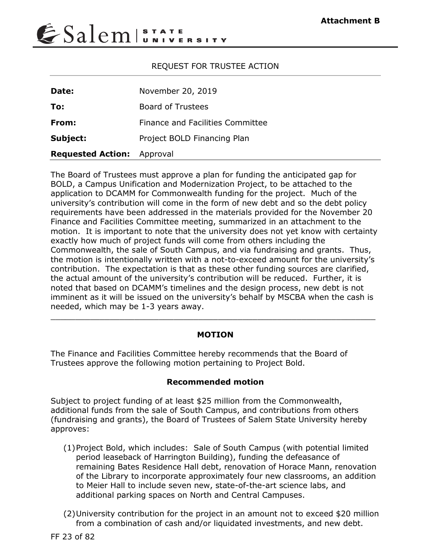# $\epsilon$ Salem $|\mathbf{S}_n|$

## REQUEST FOR TRUSTEE ACTION

| Date:                             | November 20, 2019                |  |
|-----------------------------------|----------------------------------|--|
| To:                               | <b>Board of Trustees</b>         |  |
| From:                             | Finance and Facilities Committee |  |
| Subject:                          | Project BOLD Financing Plan      |  |
| <b>Requested Action:</b> Approval |                                  |  |

The Board of Trustees must approve a plan for funding the anticipated gap for BOLD, a Campus Unification and Modernization Project, to be attached to the application to DCAMM for Commonwealth funding for the project. Much of the university's contribution will come in the form of new debt and so the debt policy requirements have been addressed in the materials provided for the November 20 Finance and Facilities Committee meeting, summarized in an attachment to the motion. It is important to note that the university does not yet know with certainty exactly how much of project funds will come from others including the Commonwealth, the sale of South Campus, and via fundraising and grants. Thus, the motion is intentionally written with a not-to-exceed amount for the university's contribution. The expectation is that as these other funding sources are clarified, the actual amount of the university's contribution will be reduced. Further, it is noted that based on DCAMM's timelines and the design process, new debt is not imminent as it will be issued on the university's behalf by MSCBA when the cash is needed, which may be 1-3 years away.

### **MOTION**

 $\_$  ,  $\_$  ,  $\_$  ,  $\_$  ,  $\_$  ,  $\_$  ,  $\_$  ,  $\_$  ,  $\_$  ,  $\_$  ,  $\_$  ,  $\_$  ,  $\_$  ,  $\_$  ,  $\_$  ,  $\_$  ,  $\_$  ,  $\_$  ,  $\_$  ,  $\_$  ,  $\_$  ,  $\_$  ,  $\_$  ,  $\_$  ,  $\_$  ,  $\_$  ,  $\_$  ,  $\_$  ,  $\_$  ,  $\_$  ,  $\_$  ,  $\_$  ,  $\_$  ,  $\_$  ,  $\_$  ,  $\_$  ,  $\_$  ,

The Finance and Facilities Committee hereby recommends that the Board of Trustees approve the following motion pertaining to Project Bold.

### **Recommended motion**

Subject to project funding of at least \$25 million from the Commonwealth, additional funds from the sale of South Campus, and contributions from others (fundraising and grants), the Board of Trustees of Salem State University hereby approves:

- (1)Project Bold, which includes: Sale of South Campus (with potential limited period leaseback of Harrington Building), funding the defeasance of remaining Bates Residence Hall debt, renovation of Horace Mann, renovation of the Library to incorporate approximately four new classrooms, an addition to Meier Hall to include seven new, state-of-the-art science labs, and additional parking spaces on North and Central Campuses.
- (2)University contribution for the project in an amount not to exceed \$20 million from a combination of cash and/or liquidated investments, and new debt.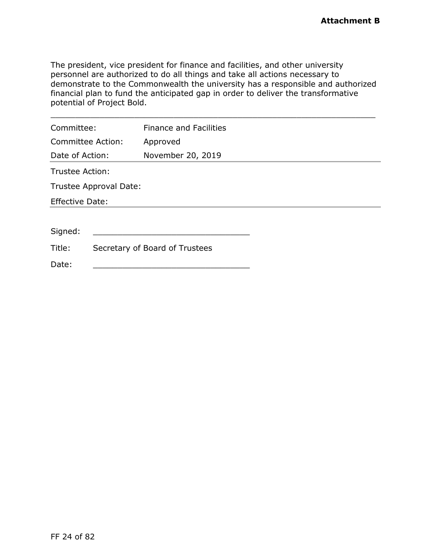The president, vice president for finance and facilities, and other university personnel are authorized to do all things and take all actions necessary to demonstrate to the Commonwealth the university has a responsible and authorized financial plan to fund the anticipated gap in order to deliver the transformative potential of Project Bold.

| Committee:             |                        | <b>Finance and Facilities</b>  |  |
|------------------------|------------------------|--------------------------------|--|
|                        | Committee Action:      | Approved                       |  |
| Date of Action:        |                        | November 20, 2019              |  |
| Trustee Action:        |                        |                                |  |
|                        | Trustee Approval Date: |                                |  |
| <b>Effective Date:</b> |                        |                                |  |
|                        |                        |                                |  |
| Signed:                |                        |                                |  |
| Title:                 |                        | Secretary of Board of Trustees |  |
| Date:                  |                        |                                |  |